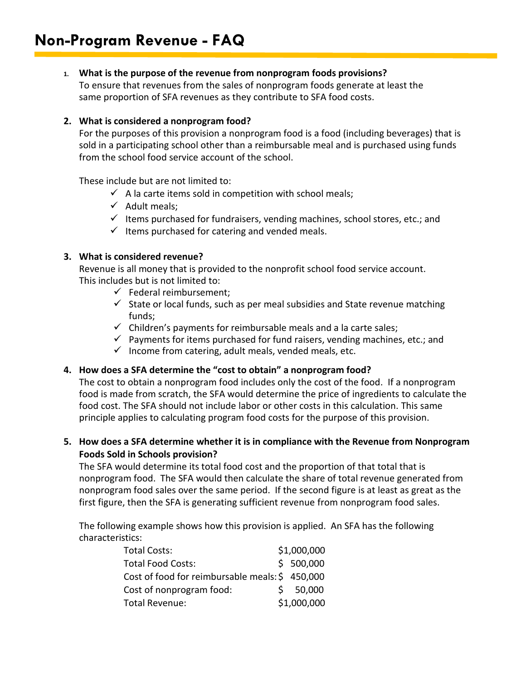## **1. What is the purpose of the revenue from nonprogram foods provisions?**

To ensure that revenues from the sales of nonprogram foods generate at least the same proportion of SFA revenues as they contribute to SFA food costs.

## **2. What is considered a nonprogram food?**

For the purposes of this provision a nonprogram food is a food (including beverages) that is sold in a participating school other than a reimbursable meal and is purchased using funds from the school food service account of the school.

These include but are not limited to:

- $\checkmark$  A la carte items sold in competition with school meals;
- $\checkmark$  Adult meals;
- $\checkmark$  Items purchased for fundraisers, vending machines, school stores, etc.; and
- $\checkmark$  Items purchased for catering and vended meals.

## **3. What is considered revenue?**

Revenue is all money that is provided to the nonprofit school food service account. This includes but is not limited to:

- $\checkmark$  Federal reimbursement:
- $\checkmark$  State or local funds, such as per meal subsidies and State revenue matching funds;
- $\checkmark$  Children's payments for reimbursable meals and a la carte sales;
- $\checkmark$  Payments for items purchased for fund raisers, vending machines, etc.; and
- $\checkmark$  Income from catering, adult meals, vended meals, etc.

## **4. How does a SFA determine the "cost to obtain" a nonprogram food?**

The cost to obtain a nonprogram food includes only the cost of the food. If a nonprogram food is made from scratch, the SFA would determine the price of ingredients to calculate the food cost. The SFA should not include labor or other costs in this calculation. This same principle applies to calculating program food costs for the purpose of this provision.

## **5. How does a SFA determine whether it is in compliance with the Revenue from Nonprogram Foods Sold in Schools provision?**

The SFA would determine its total food cost and the proportion of that total that is nonprogram food. The SFA would then calculate the share of total revenue generated from nonprogram food sales over the same period. If the second figure is at least as great as the first figure, then the SFA is generating sufficient revenue from nonprogram food sales.

The following example shows how this provision is applied. An SFA has the following characteristics:

| <b>Total Costs:</b>                            | \$1,000,000 |
|------------------------------------------------|-------------|
| <b>Total Food Costs:</b>                       | \$500,000   |
| Cost of food for reimbursable meals: \$450,000 |             |
| Cost of nonprogram food:                       | \$50,000    |
| <b>Total Revenue:</b>                          | \$1,000,000 |